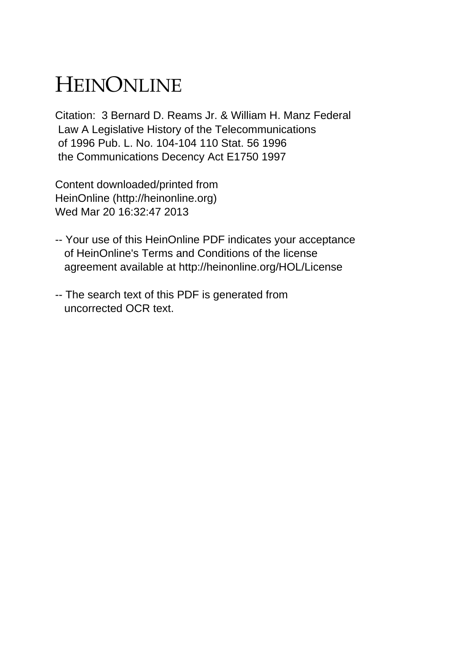# HEINONLINE

Citation: 3 Bernard D. Reams Jr. & William H. Manz Federal Law A Legislative History of the Telecommunications of 1996 Pub. L. No. 104-104 110 Stat. 56 1996 the Communications Decency Act E1750 1997

Content downloaded/printed from HeinOnline (http://heinonline.org) Wed Mar 20 16:32:47 2013

- -- Your use of this HeinOnline PDF indicates your acceptance of HeinOnline's Terms and Conditions of the license agreement available at http://heinonline.org/HOL/License
- -- The search text of this PDF is generated from uncorrected OCR text.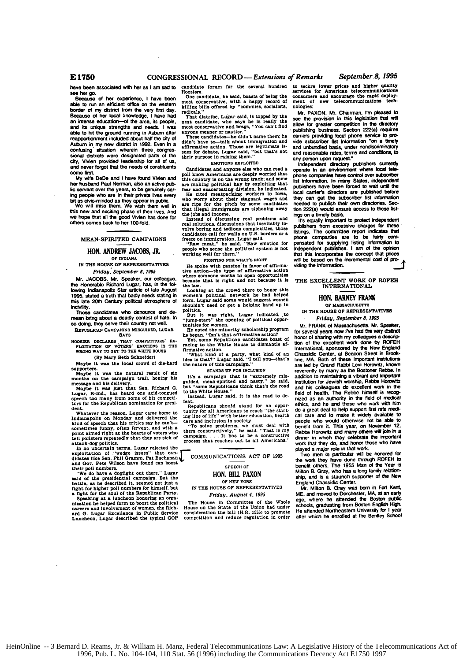**have** been associated with her as **I** am sad to candidate **forum** for the several **hundred**

**Secause of her experience, I have been**<br>able to run an efficient office on the western **killing border of my district from the very first day. radicals.**<br>**Because of her local knowledge.** I have had. The d Because of her local knowledge, I have had "That diatribe, Lugar said, is topped by the<br>an intense education—of the area, its people, next candidate, who says he is really the<br>and its unique strengths and needs. I was most able to hit the ground running in Auburn after anyone meaner or nastier."<br> **able to hit the ground running in Auburn after anyone meaner or nastier."**<br> **reapportionment included about half the city of These candidates—be d** reapportionment included about half the city of These candidates—be didn't name them; he<br>Auburn in my new district in 1992. Even in a didn't have to—talk about immigration and<br>filmmative action. Those are legitimate is-Confusing situation wherein three congres-<br>Sional districts were designated parts of the there are allegar asid, "but that's not<br>City, Vivien provided leadership for all of us,<br>City, Vivien provided leadership for all of u city, Vivien provided leadership for all of us,<br>and never forgot that the needs of constituents<br>
cand anyone else who

**her** husband Paul Norman. also **an** active pub- **are** making political hay **by** exploiting **that lic servant over the years, to be genuinely car- ing people** who are in their private lives every

OF INDIANA **be seen to the seen of DIFTING FOR WHAT'S RIGHT<br>IN THE HOUSE OF REPRESENTATIVES <b>He who with massion** in favor of

the Honorable Richard Lugar, has, in the fol-<br>lowing Indianapolis Star article of late August Looking at the crowd there to honor this<br>1995, stated a truth that badly needs stating in women's political network he had helpe the 20th Century and the 20th Century political after the bad a text of the 20th Century political atmosphere of form. Lugar and some would suggest in the 20th Century political atmosphere of form. Lugar and some would sug

Those candidates who denounce and de-

**REPUBLICAN CAMPAIONS MISGUIDED, LUGAR SAYS** 

HOOSIER DECLARES THAT COMPETITORS' EX. Yet, some Republican candidates boast of PLOITATION OF VOTERS' EMOTIONS IS THE racing to the White House to dismantle af-**EXECUTE AND WAY TO OET TO THE WHITE HOUSE <b>firmative action.** What kind of an aparty, what kind of an (By Mary Beth Schneider) **idea** is that?" Lugar said. "I tell you-that's

(By Mary Beth Schneider)<br>
Maybe it was the local crowd of die-hard the nature of this campaign."<br>
1990 process.<br>
1990 process.<br>
1990 process.<br>
1990 process.<br>
1990 process.<br>
1990 process.

supporters. **STANDS UP FOR INCLUSION Maybe** it **was** the natural result of **six -a a** on is r y

Integers, and use of the set of the Sen. Richard G. but "some Republicans think that's the road<br>Lugar, R-Ind., has heard one acid-tongued to the White House."<br>speech too many from some of his competi-<br>for since it is the r

Whatever the reason, Lugar cante unit to ling line of life" with better education, health<br>hind of speech that his critics say he can't- care and inclusion in society.<br>kind of speech that his critics say he can't- care and bont all polisters repeatedly that they are sick of attack-dog politics.

In no uncertain terms, Lugar rejected the<br>exploitation of "wedge issues" that can-<br>didates like Sen. Phil Gramm, Pat Buchanan COMMUNICATIONS ACT OF 1995<br>and Gov. Pete Wilson have found can boost SPEECH of<br>their poll number

"We **do** have **a** dogfight out there." Lugar **HON. BILL PAXON** said **of** the presidential campaign- **But** the hattie, as he described **it. seemed** not just a **OF NEW YORK**

Catalogical Control in the Solution Person in the House of REPRESENTATIVES<br>
a fight for the soul of the Republican Party.<br>
Speaking at a luncheon bonoring an orga-<br>
Speaking at a luncheon bonoring an orga-<br>
Speaking at a l

**ard G.** Lugar Excellence in Public Service consideration the **bill** (H.R. **1555)** to promote Luncheon. **Lugar** described the typical **GOP** competition **and** reduce regulation in order

Because of her experience, I have been One candidate, he said, boasts of being the<br>able to run an efficient office on the western most conservative, with a happy record of

core first. poll **know** Americans **are deeply** worried that **My** wile DeDe anid **I** have founid Viin and this country **is** on the wrong track; **and rome** ing people who are in their private lives every<br>bit as choc-minded as they appear in public. Who worry about their stagnant wages and<br>the well miss them. We wish them well in are ripe for the pitch by some candidates<br>We wi

others comes back to her 100-fold.<br>
The seal of the seal of the seal of the control of the seal of the control of the control of the control of the control of the control of the control of the control of the control of the

IN THE HOUSE OF REPRESENTATIVES He spoke with passion in favor of affirma-<br>Friday, September 8, 1995 tive action—the type of affirmative action<br>Mr. JACOBS. Mr. Speaker, our colleague, where someone works to open opportunit

shouldn't need or get a helping hand up in politics.

**But it was right, Lugar indicated, to** "jump-start" the opening of political opporso colong, the conclusion was conclusion of the server of hate. In the spening of politicated, to the country present well. <br> **So colong, they serve their country rot well.** <br> **Explored the minority scholarship program**<br>

He he began. "Isn't that affirmative action?<br>
Yet, some Republican candidates boast of<br>
Yet, some Republican candidates boast of<br>
racing to the White House to dismantle af-

mayoe it was the campaign trail, honing his It's a campaign that is "extremely mis-<br>meets and his delivery, guided, mean-spirited and nasty." he said.<br>meetsage and his delivery.

Let the republicans should stand for an oppor-<br> **Whatever the reason.** Lugar came home to **tunity for all Americans to reach "the start-**<br> **Whatever the reason.** Lugar came home to **tunity of the start-reduced to health** 

kind of speech that his critics say is can  $V^{\bullet}$  in the solve problems. We must deal with<br>sometimes funny, often fervent, and with a surface problems. We said, "That is my<br>point aimed right at the hearts of voters who t

to secure lower prices and higher quality services for American telecommunications consumers **and** encourage the rapid deploy-ment of **new** telecommunications tech**nologles:**

Mr. **PAXON.** Mr. Chairman, I'm pleased **to** see the provision in this legislation that will allow for greater competition in **ts dlectry** publishing business. Section 222(a) requires carriers providing local phone **service to** pro, **vide** subscriber **lst** Information "on **a trely and** unbundled basis, under nondisciinatory and reasonable rates. terms **and** conditions, **to any person** upon request"

Independent directory publishers currently<br>operate in an environment where local telephone **companies tove** control **over subscriber** list information. In many States, independent publishers have been forced to wait until the local carrier's directors are **pikhithed** before they can get the subscriber list information<br>needed to publish their own directories. Sec**tion** 222(a) would ensure access to these **lstings** on **a timey** basis.

It's equaly lnrpoiant to protect **inepender** publishers from excessive charges **for these** listings. The committee report indicates **that** phone companies are to be fairly **corn**pensated for supplying listing information to<br>independent **publishes.** I am of the opinion<br>that this incorporates the concept that prices *will* **be** based on **the** Incremental cost of **pro-**viding the Information. **\_\_**

THE **EXCELLENT** WORK OP **ROPEH** INTERNATIONAL

### **HON. BARNEY FRANK**

**OF M ASSACHU SETTS** IN THE **HOUSE** OF REPRESENTATIVES *Friday. September* **8, 1993**

Mr. FRANK of Massachusetts. Mr. **SpeaSr,** for several years now I've had the very distinct<br>honor of sharing with my colleagues a description<br>for the excellent work done by ROFEH<br>International, sponsored by the New England<br>Chassidic Center, at Beacon Street in Broo reverently by **many** as the Bostoner Rebbe. In addition **to** maintaining a **vibrant** and Invariant institution for Jewish worship. Reline Horowitz and his colleagues do excellent work **in the** field **of** health. The Rebbe **himself** is recognized as **an** authority in the **field of** medical ethics, and he and those who work wilt **him** do a **great** deal to help support first rate medical care and to make it widely availa people who would otherwise **not be** able **to** benefit from **I.** This year. **On** November 12. **Rebbe Horowitz and many others will join in a** dinner in which they celebrate the important<br>work that they do, and honor those who have played a major role in that work.

Two **men** in particular will be honed **for** the work they have done through ROFEH to benefit others. The **1955** Man of **the Year is** Milton B. Gray, who has a long faiy reafiOn-ship, and is a staunch supporter of **the** New England Chassidic Center. **Mr.** Milton **B.** Gray **was born** in Foi Kent.

ME. and moved to Dorchester, MA, **at** an early age, where he attended the Boston **public** schools, graduating **from** Boston English High. He attended Northeastem University for **1** year **after** which he enrolled at **the** Bentley **School**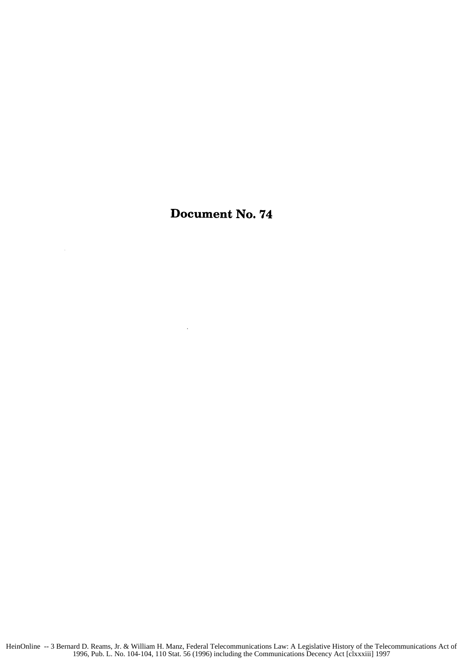## Document No. 74

 $\ddot{\phantom{a}}$